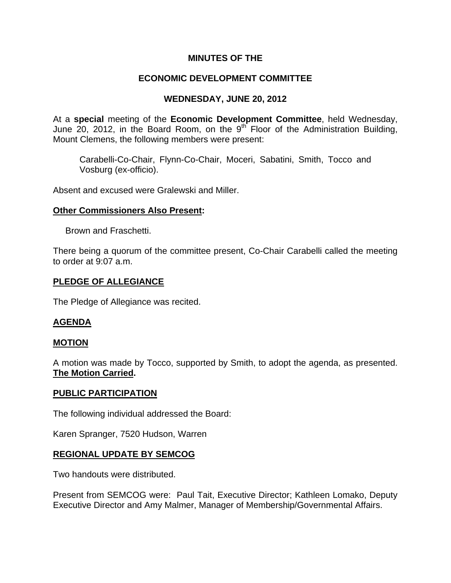# **MINUTES OF THE**

# **ECONOMIC DEVELOPMENT COMMITTEE**

# **WEDNESDAY, JUNE 20, 2012**

At a **special** meeting of the **Economic Development Committee**, held Wednesday, June 20, 2012, in the Board Room, on the 9<sup>th</sup> Floor of the Administration Building, Mount Clemens, the following members were present:

Carabelli-Co-Chair, Flynn-Co-Chair, Moceri, Sabatini, Smith, Tocco and Vosburg (ex-officio).

Absent and excused were Gralewski and Miller.

#### **Other Commissioners Also Present:**

Brown and Fraschetti.

There being a quorum of the committee present, Co-Chair Carabelli called the meeting to order at 9:07 a.m.

### **PLEDGE OF ALLEGIANCE**

The Pledge of Allegiance was recited.

## **AGENDA**

#### **MOTION**

A motion was made by Tocco, supported by Smith, to adopt the agenda, as presented. **The Motion Carried.** 

#### **PUBLIC PARTICIPATION**

The following individual addressed the Board:

Karen Spranger, 7520 Hudson, Warren

#### **REGIONAL UPDATE BY SEMCOG**

Two handouts were distributed.

Present from SEMCOG were: Paul Tait, Executive Director; Kathleen Lomako, Deputy Executive Director and Amy Malmer, Manager of Membership/Governmental Affairs.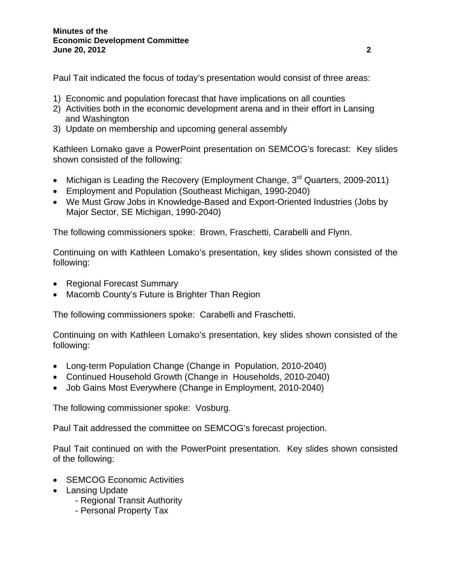Paul Tait indicated the focus of today's presentation would consist of three areas:

- 1) Economic and population forecast that have implications on all counties
- 2) Activities both in the economic development arena and in their effort in Lansing and Washington
- 3) Update on membership and upcoming general assembly

Kathleen Lomako gave a PowerPoint presentation on SEMCOG's forecast: Key slides shown consisted of the following:

- Michigan is Leading the Recovery (Employment Change, 3<sup>rd</sup> Quarters, 2009-2011)
- Employment and Population (Southeast Michigan, 1990-2040)
- We Must Grow Jobs in Knowledge-Based and Export-Oriented Industries (Jobs by Major Sector, SE Michigan, 1990-2040)

The following commissioners spoke: Brown, Fraschetti, Carabelli and Flynn.

Continuing on with Kathleen Lomako's presentation, key slides shown consisted of the following:

- Regional Forecast Summary
- Macomb County's Future is Brighter Than Region

The following commissioners spoke: Carabelli and Fraschetti.

Continuing on with Kathleen Lomako's presentation, key slides shown consisted of the following:

- Long-term Population Change (Change in Population, 2010-2040)
- Continued Household Growth (Change in Households, 2010-2040)
- Job Gains Most Everywhere (Change in Employment, 2010-2040)

The following commissioner spoke: Vosburg.

Paul Tait addressed the committee on SEMCOG's forecast projection.

Paul Tait continued on with the PowerPoint presentation. Key slides shown consisted of the following:

- SEMCOG Economic Activities
- Lansing Update
	- Regional Transit Authority
	- Personal Property Tax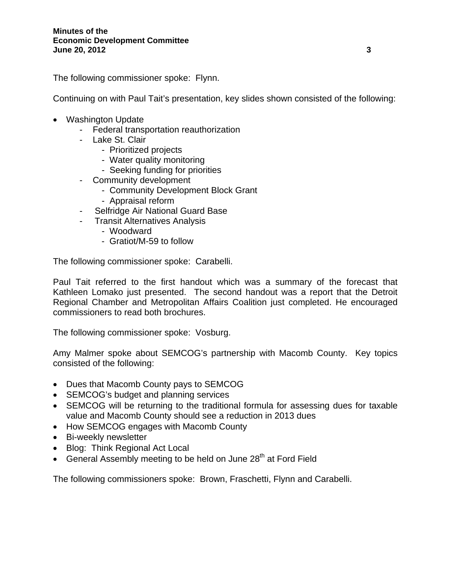The following commissioner spoke: Flynn.

Continuing on with Paul Tait's presentation, key slides shown consisted of the following:

- Washington Update
	- Federal transportation reauthorization
	- Lake St. Clair
		- Prioritized projects
		- Water quality monitoring
		- Seeking funding for priorities
	- Community development
		- Community Development Block Grant
			- Appraisal reform
	- Selfridge Air National Guard Base
	- Transit Alternatives Analysis
		- Woodward
		- Gratiot/M-59 to follow

The following commissioner spoke: Carabelli.

Paul Tait referred to the first handout which was a summary of the forecast that Kathleen Lomako just presented. The second handout was a report that the Detroit Regional Chamber and Metropolitan Affairs Coalition just completed. He encouraged commissioners to read both brochures.

The following commissioner spoke: Vosburg.

Amy Malmer spoke about SEMCOG's partnership with Macomb County. Key topics consisted of the following:

- Dues that Macomb County pays to SEMCOG
- SEMCOG's budget and planning services
- SEMCOG will be returning to the traditional formula for assessing dues for taxable value and Macomb County should see a reduction in 2013 dues
- How SEMCOG engages with Macomb County
- Bi-weekly newsletter
- Blog: Think Regional Act Local
- General Assembly meeting to be held on June 28<sup>th</sup> at Ford Field

The following commissioners spoke: Brown, Fraschetti, Flynn and Carabelli.